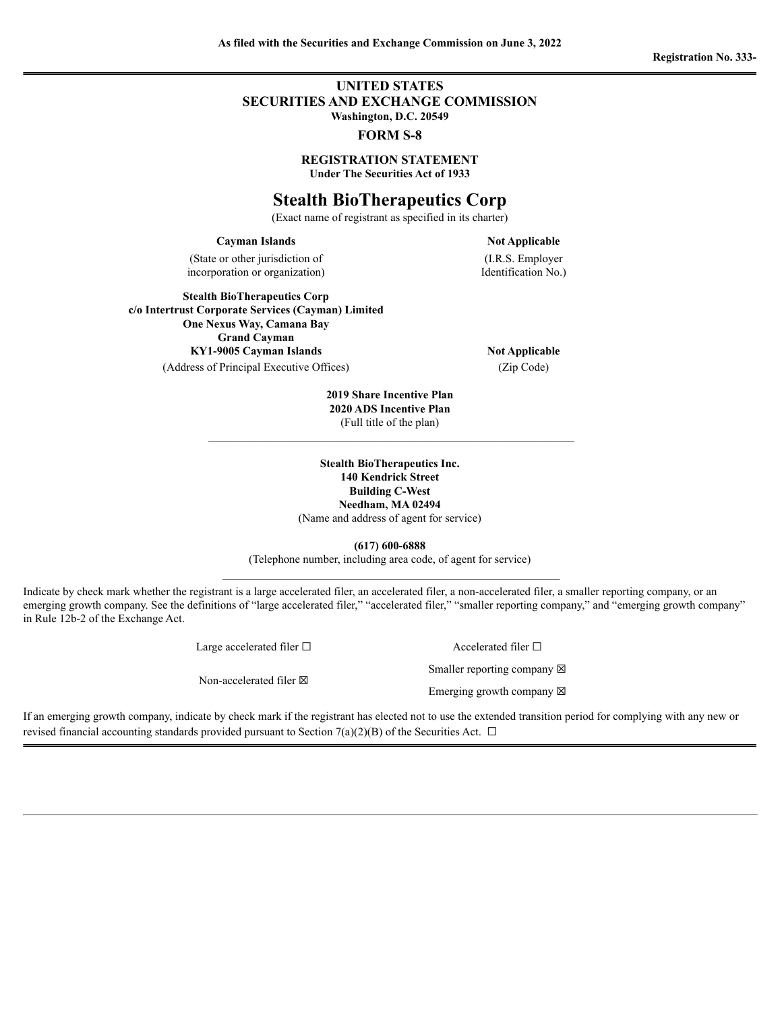## **UNITED STATES SECURITIES AND EXCHANGE COMMISSION Washington, D.C. 20549**

### **FORM S-8**

**REGISTRATION STATEMENT Under The Securities Act of 1933**

# **Stealth BioTherapeutics Corp**

(Exact name of registrant as specified in its charter)

#### **Cayman Islands Not Applicable**

(State or other jurisdiction of incorporation or organization)

(I.R.S. Employer Identification No.)

**Stealth BioTherapeutics Corp c/o Intertrust Corporate Services (Cayman) Limited One Nexus Way, Camana Bay Grand Cayman KY1-9005 Cayman Islands Not Applicable** (Address of Principal Executive Offices) (Zip Code)

**2019 Share Incentive Plan 2020 ADS Incentive Plan** (Full title of the plan)

**Stealth BioTherapeutics Inc. 140 Kendrick Street Building C-West Needham, MA 02494** (Name and address of agent for service)

**(617) 600-6888**

(Telephone number, including area code, of agent for service)

Indicate by check mark whether the registrant is a large accelerated filer, an accelerated filer, a non-accelerated filer, a smaller reporting company, or an emerging growth company. See the definitions of "large accelerated filer," "accelerated filer," "smaller reporting company," and "emerging growth company" in Rule 12b-2 of the Exchange Act.

| Large accelerated filer $\square$ | Accelerated filer $\Box$              |  |  |
|-----------------------------------|---------------------------------------|--|--|
|                                   | Smaller reporting company $\boxtimes$ |  |  |
| Non-accelerated filer $\boxtimes$ | Emerging growth company $\boxtimes$   |  |  |

If an emerging growth company, indicate by check mark if the registrant has elected not to use the extended transition period for complying with any new or revised financial accounting standards provided pursuant to Section 7(a)(2)(B) of the Securities Act.  $\Box$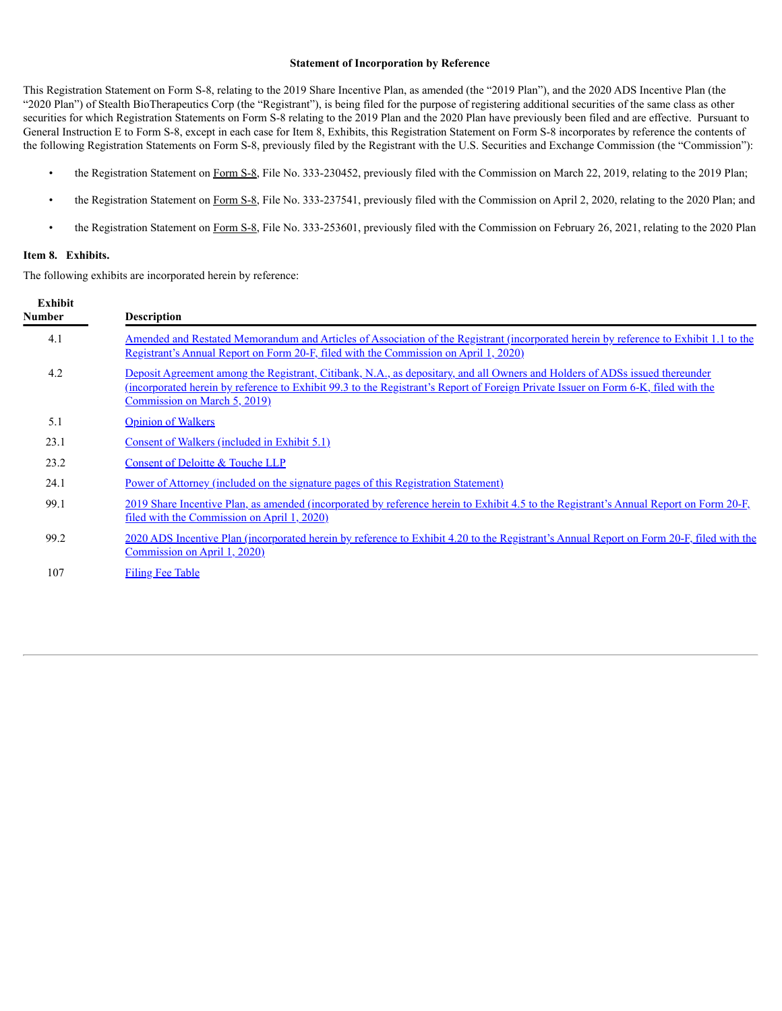### **Statement of Incorporation by Reference**

This Registration Statement on Form S-8, relating to the 2019 Share Incentive Plan, as amended (the "2019 Plan"), and the 2020 ADS Incentive Plan (the "2020 Plan") of Stealth BioTherapeutics Corp (the "Registrant"), is being filed for the purpose of registering additional securities of the same class as other securities for which Registration Statements on Form S-8 relating to the 2019 Plan and the 2020 Plan have previously been filed and are effective. Pursuant to General Instruction E to Form S-8, except in each case for Item 8, Exhibits, this Registration Statement on Form S-8 incorporates by reference the contents of the following Registration Statements on Form S-8, previously filed by the Registrant with the U.S. Securities and Exchange Commission (the "Commission"):

- the Registration Statement on Form S-8, File No. 333-230452, previously filed with the Commission on March 22, 2019, relating to the 2019 Plan;
- the Registration Statement on [Form](https://content.edgar-online.com/ExternalLink/EDGAR/0001193125-20-094871.html?hash=e8a1d9ded20f77d2b5c2a25f173f7555f77e78e99fdeda38b1f98531348cf905&dest=d910576ds8_htm) S-8, File No. 333-237541, previously filed with the Commission on April 2, 2020, relating to the 2020 Plan; and
- the Registration Statement on [Form](https://content.edgar-online.com/ExternalLink/EDGAR/0001193125-21-060372.html?hash=1b3ef556d3759c03ca4f8767154c3062e264ce2546143e5b2a9da18b51e9988b&dest=d148885ds8_htm) S-8, File No. 333-253601, previously filed with the Commission on February 26, 2021, relating to the 2020 Plan

### **Item 8. Exhibits.**

The following exhibits are incorporated herein by reference:

| <b>Exhibit</b><br><b>Number</b> | <b>Description</b>                                                                                                                                                                                                                                                                                |
|---------------------------------|---------------------------------------------------------------------------------------------------------------------------------------------------------------------------------------------------------------------------------------------------------------------------------------------------|
| 4.1                             | Amended and Restated Memorandum and Articles of Association of the Registrant (incorporated herein by reference to Exhibit 1.1 to the<br>Registrant's Annual Report on Form 20-F, filed with the Commission on April 1, 2020)                                                                     |
| 4.2                             | Deposit Agreement among the Registrant, Citibank, N.A., as depositary, and all Owners and Holders of ADSs issued thereunder<br>(incorporated herein by reference to Exhibit 99.3 to the Registrant's Report of Foreign Private Issuer on Form 6-K, filed with the<br>Commission on March 5, 2019) |
| 5.1                             | <b>Opinion of Walkers</b>                                                                                                                                                                                                                                                                         |
| 23.1                            | Consent of Walkers (included in Exhibit 5.1)                                                                                                                                                                                                                                                      |
| 23.2                            | Consent of Deloitte & Touche LLP                                                                                                                                                                                                                                                                  |
| 24.1                            | <u>Power of Attorney (included on the signature pages of this Registration Statement)</u>                                                                                                                                                                                                         |
| 99.1                            | 2019 Share Incentive Plan, as amended (incorporated by reference herein to Exhibit 4.5 to the Registrant's Annual Report on Form 20-F,<br>filed with the Commission on April 1, 2020)                                                                                                             |
| 99.2                            | 2020 ADS Incentive Plan (incorporated herein by reference to Exhibit 4.20 to the Registrant's Annual Report on Form 20-F, filed with the<br>Commission on April 1, 2020)                                                                                                                          |
| 107                             | <b>Filing Fee Table</b>                                                                                                                                                                                                                                                                           |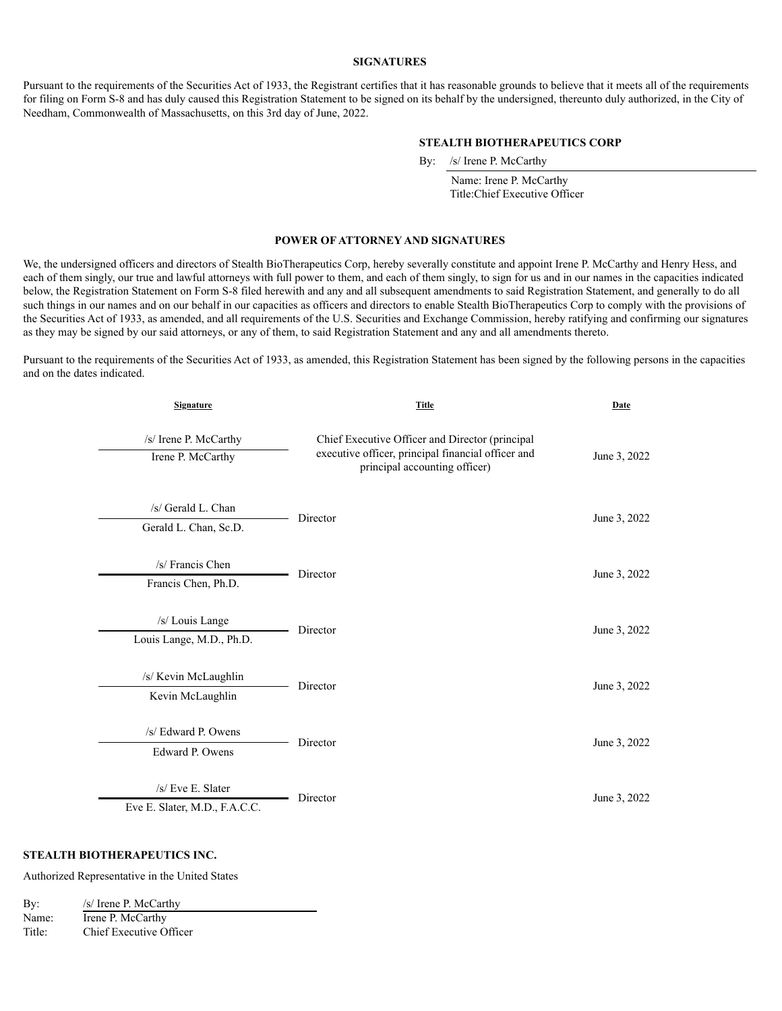### **SIGNATURES**

Pursuant to the requirements of the Securities Act of 1933, the Registrant certifies that it has reasonable grounds to believe that it meets all of the requirements for filing on Form S-8 and has duly caused this Registration Statement to be signed on its behalf by the undersigned, thereunto duly authorized, in the City of Needham, Commonwealth of Massachusetts, on this 3rd day of June, 2022.

### **STEALTH BIOTHERAPEUTICS CORP**

By: /s/ Irene P. McCarthy

Name: Irene P. McCarthy Title:Chief Executive Officer

### <span id="page-2-0"></span>**POWER OF ATTORNEY AND SIGNATURES**

We, the undersigned officers and directors of Stealth BioTherapeutics Corp, hereby severally constitute and appoint Irene P. McCarthy and Henry Hess, and each of them singly, our true and lawful attorneys with full power to them, and each of them singly, to sign for us and in our names in the capacities indicated below, the Registration Statement on Form S-8 filed herewith and any and all subsequent amendments to said Registration Statement, and generally to do all such things in our names and on our behalf in our capacities as officers and directors to enable Stealth BioTherapeutics Corp to comply with the provisions of the Securities Act of 1933, as amended, and all requirements of the U.S. Securities and Exchange Commission, hereby ratifying and confirming our signatures as they may be signed by our said attorneys, or any of them, to said Registration Statement and any and all amendments thereto.

Pursuant to the requirements of the Securities Act of 1933, as amended, this Registration Statement has been signed by the following persons in the capacities and on the dates indicated.

| <b>Signature</b>                                    | <b>Title</b>                                                                                                                           | Date         |  |
|-----------------------------------------------------|----------------------------------------------------------------------------------------------------------------------------------------|--------------|--|
| /s/ Irene P. McCarthy<br>Irene P. McCarthy          | Chief Executive Officer and Director (principal<br>executive officer, principal financial officer and<br>principal accounting officer) | June 3, 2022 |  |
| /s/ Gerald L. Chan<br>Gerald L. Chan, Sc.D.         | Director                                                                                                                               | June 3, 2022 |  |
| /s/ Francis Chen<br>Francis Chen, Ph.D.             | Director                                                                                                                               | June 3, 2022 |  |
| /s/ Louis Lange<br>Louis Lange, M.D., Ph.D.         | Director                                                                                                                               | June 3, 2022 |  |
| /s/ Kevin McLaughlin<br>Kevin McLaughlin            | Director                                                                                                                               | June 3, 2022 |  |
| /s/ Edward P. Owens<br>Edward P. Owens              | Director                                                                                                                               | June 3, 2022 |  |
| $/s$ Eve E. Slater<br>Eve E. Slater, M.D., F.A.C.C. | Director                                                                                                                               | June 3, 2022 |  |

### **STEALTH BIOTHERAPEUTICS INC.**

Authorized Representative in the United States

| By:    | /s/ Irene P. McCarthy   |
|--------|-------------------------|
| Name:  | Irene P. McCarthy       |
| Title: | Chief Executive Officer |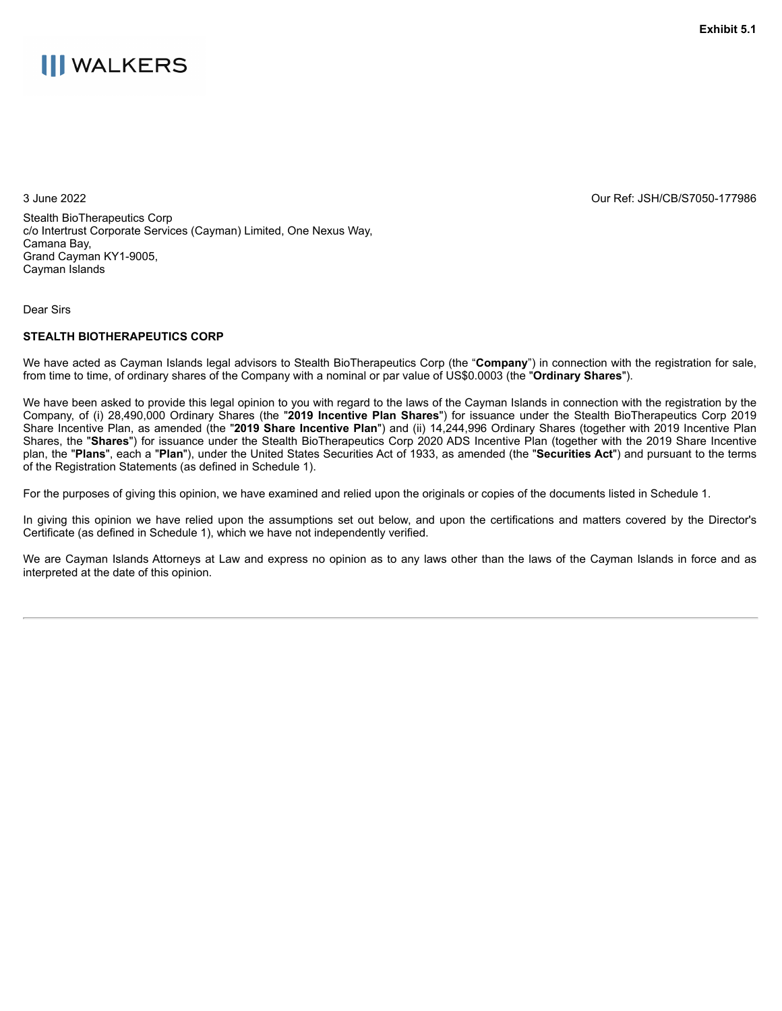# <span id="page-4-0"></span>**III WALKERS**

3 June 2022 Our Ref: JSH/CB/S7050-177986

Stealth BioTherapeutics Corp c/o Intertrust Corporate Services (Cayman) Limited, One Nexus Way, Camana Bay, Grand Cayman KY1-9005, Cayman Islands

### Dear Sirs

### **STEALTH BIOTHERAPEUTICS CORP**

We have acted as Cayman Islands legal advisors to Stealth BioTherapeutics Corp (the "**Company**") in connection with the registration for sale, from time to time, of ordinary shares of the Company with a nominal or par value of US\$0.0003 (the "**Ordinary Shares**").

We have been asked to provide this legal opinion to you with regard to the laws of the Cayman Islands in connection with the registration by the Company, of (i) 28,490,000 Ordinary Shares (the "**2019 Incentive Plan Shares**") for issuance under the Stealth BioTherapeutics Corp 2019 Share Incentive Plan, as amended (the "**2019 Share Incentive Plan**") and (ii) 14,244,996 Ordinary Shares (together with 2019 Incentive Plan Shares, the "**Shares**") for issuance under the Stealth BioTherapeutics Corp 2020 ADS Incentive Plan (together with the 2019 Share Incentive plan, the "**Plans**", each a "**Plan**"), under the United States Securities Act of 1933, as amended (the "**Securities Act**") and pursuant to the terms of the Registration Statements (as defined in Schedule 1).

For the purposes of giving this opinion, we have examined and relied upon the originals or copies of the documents listed in Schedule 1.

In giving this opinion we have relied upon the assumptions set out below, and upon the certifications and matters covered by the Director's Certificate (as defined in Schedule 1), which we have not independently verified.

We are Cayman Islands Attorneys at Law and express no opinion as to any laws other than the laws of the Cayman Islands in force and as interpreted at the date of this opinion.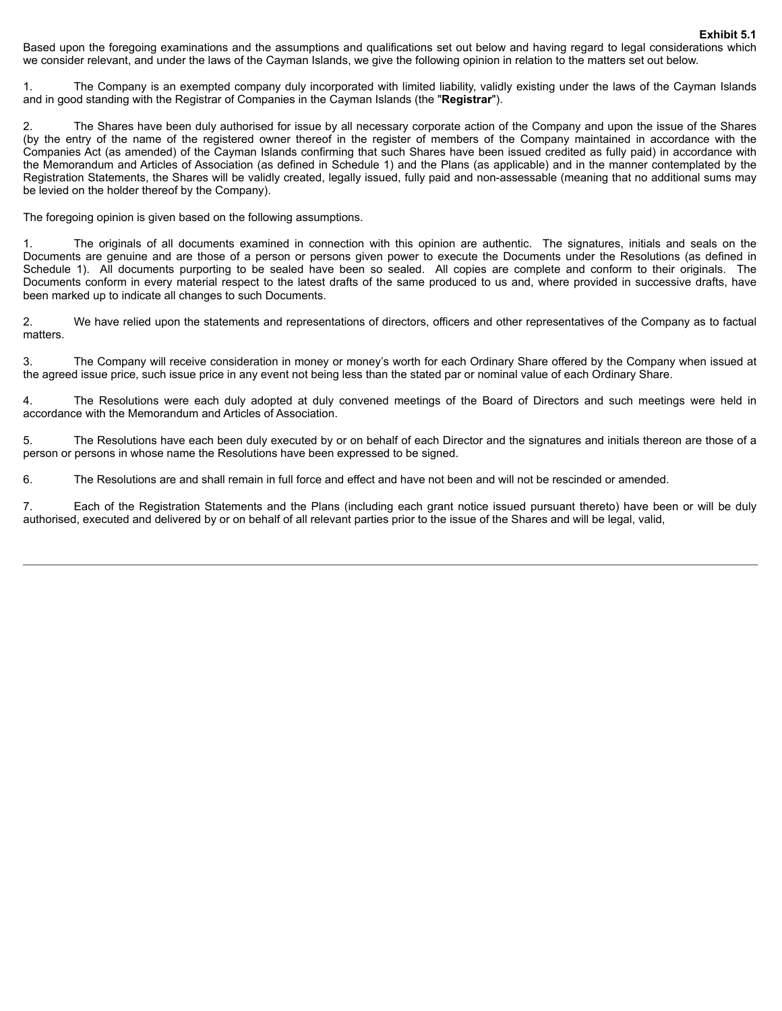Based upon the foregoing examinations and the assumptions and qualifications set out below and having regard to legal considerations which we consider relevant, and under the laws of the Cayman Islands, we give the following opinion in relation to the matters set out below.

1. The Company is an exempted company duly incorporated with limited liability, validly existing under the laws of the Cayman Islands and in good standing with the Registrar of Companies in the Cayman Islands (the "**Registrar**").

2. The Shares have been duly authorised for issue by all necessary corporate action of the Company and upon the issue of the Shares (by the entry of the name of the registered owner thereof in the register of members of the Company maintained in accordance with the Companies Act (as amended) of the Cayman Islands confirming that such Shares have been issued credited as fully paid) in accordance with the Memorandum and Articles of Association (as defined in Schedule 1) and the Plans (as applicable) and in the manner contemplated by the Registration Statements, the Shares will be validly created, legally issued, fully paid and non-assessable (meaning that no additional sums may be levied on the holder thereof by the Company).

The foregoing opinion is given based on the following assumptions.

1. The originals of all documents examined in connection with this opinion are authentic. The signatures, initials and seals on the Documents are genuine and are those of a person or persons given power to execute the Documents under the Resolutions (as defined in Schedule 1). All documents purporting to be sealed have been so sealed. All copies are complete and conform to their originals. The Documents conform in every material respect to the latest drafts of the same produced to us and, where provided in successive drafts, have been marked up to indicate all changes to such Documents.

2. We have relied upon the statements and representations of directors, officers and other representatives of the Company as to factual matters.

3. The Company will receive consideration in money or money's worth for each Ordinary Share offered by the Company when issued at the agreed issue price, such issue price in any event not being less than the stated par or nominal value of each Ordinary Share.

4. The Resolutions were each duly adopted at duly convened meetings of the Board of Directors and such meetings were held in accordance with the Memorandum and Articles of Association.

5. The Resolutions have each been duly executed by or on behalf of each Director and the signatures and initials thereon are those of a person or persons in whose name the Resolutions have been expressed to be signed.

6. The Resolutions are and shall remain in full force and effect and have not been and will not be rescinded or amended.

7. Each of the Registration Statements and the Plans (including each grant notice issued pursuant thereto) have been or will be duly authorised, executed and delivered by or on behalf of all relevant parties prior to the issue of the Shares and will be legal, valid,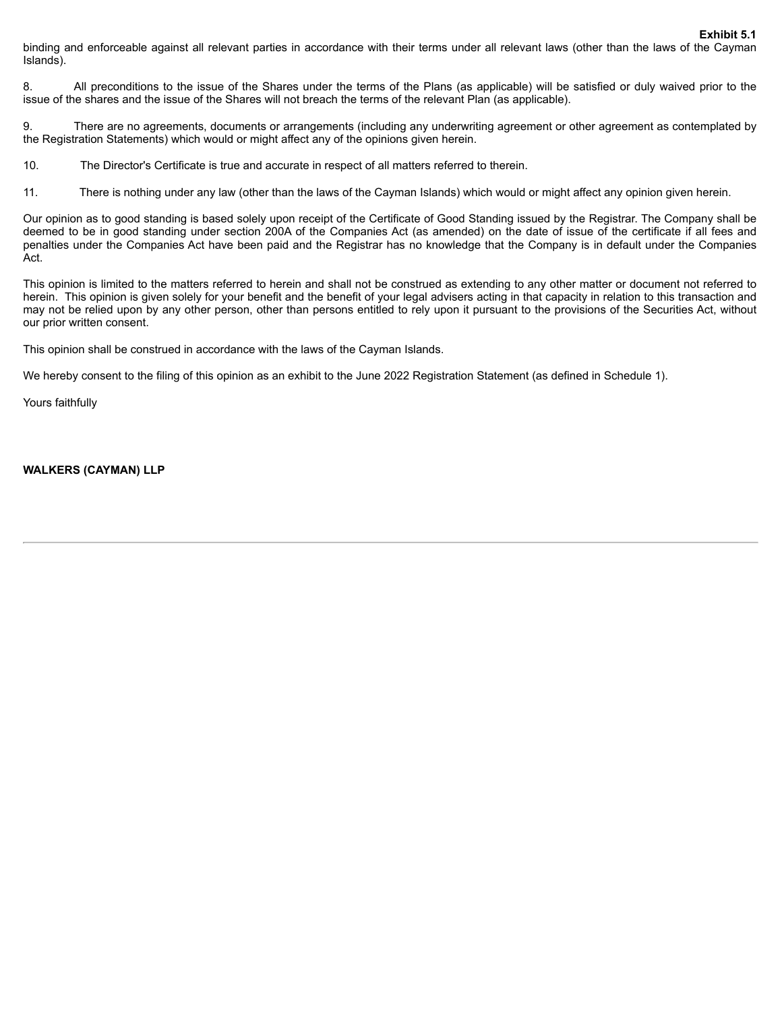**Exhibit 5.1**

binding and enforceable against all relevant parties in accordance with their terms under all relevant laws (other than the laws of the Cayman Islands).

8. All preconditions to the issue of the Shares under the terms of the Plans (as applicable) will be satisfied or duly waived prior to the issue of the shares and the issue of the Shares will not breach the terms of the relevant Plan (as applicable).

9. There are no agreements, documents or arrangements (including any underwriting agreement or other agreement as contemplated by the Registration Statements) which would or might affect any of the opinions given herein.

10. The Director's Certificate is true and accurate in respect of all matters referred to therein.

11. There is nothing under any law (other than the laws of the Cayman Islands) which would or might affect any opinion given herein.

Our opinion as to good standing is based solely upon receipt of the Certificate of Good Standing issued by the Registrar. The Company shall be deemed to be in good standing under section 200A of the Companies Act (as amended) on the date of issue of the certificate if all fees and penalties under the Companies Act have been paid and the Registrar has no knowledge that the Company is in default under the Companies Act.

This opinion is limited to the matters referred to herein and shall not be construed as extending to any other matter or document not referred to herein. This opinion is given solely for your benefit and the benefit of your legal advisers acting in that capacity in relation to this transaction and may not be relied upon by any other person, other than persons entitled to rely upon it pursuant to the provisions of the Securities Act, without our prior written consent.

This opinion shall be construed in accordance with the laws of the Cayman Islands.

We hereby consent to the filing of this opinion as an exhibit to the June 2022 Registration Statement (as defined in Schedule 1).

Yours faithfully

**WALKERS (CAYMAN) LLP**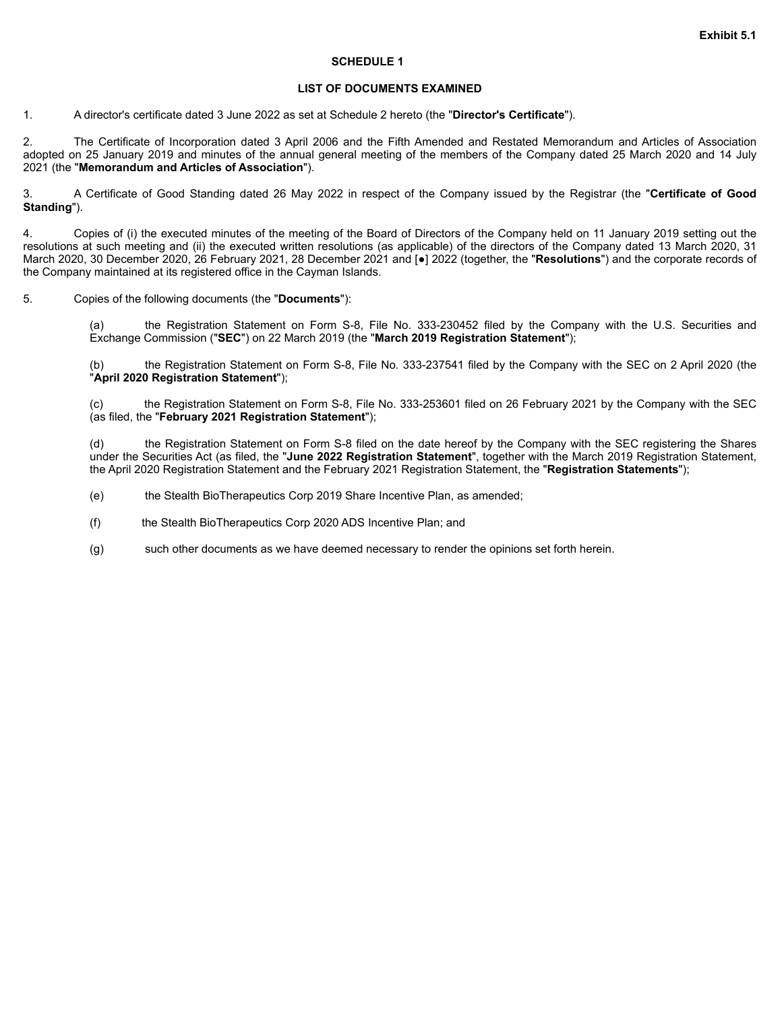### **SCHEDULE 1**

### **LIST OF DOCUMENTS EXAMINED**

1. A director's certificate dated 3 June 2022 as set at Schedule 2 hereto (the "**Director's Certificate**").

2. The Certificate of Incorporation dated 3 April 2006 and the Fifth Amended and Restated Memorandum and Articles of Association adopted on 25 January 2019 and minutes of the annual general meeting of the members of the Company dated 25 March 2020 and 14 July 2021 (the "**Memorandum and Articles of Association**").

3. A Certificate of Good Standing dated 26 May 2022 in respect of the Company issued by the Registrar (the "**Certificate of Good Standing**").

4. Copies of (i) the executed minutes of the meeting of the Board of Directors of the Company held on 11 January 2019 setting out the resolutions at such meeting and (ii) the executed written resolutions (as applicable) of the directors of the Company dated 13 March 2020, 31 March 2020, 30 December 2020, 26 February 2021, 28 December 2021 and [●] 2022 (together, the "**Resolutions**") and the corporate records of the Company maintained at its registered office in the Cayman Islands.

5. Copies of the following documents (the "**Documents**"):

the Registration Statement on Form S-8, File No. 333-230452 filed by the Company with the U.S. Securities and Exchange Commission ("**SEC**") on 22 March 2019 (the "**March 2019 Registration Statement**");

(b) the Registration Statement on Form S-8, File No. 333-237541 filed by the Company with the SEC on 2 April 2020 (the "**April 2020 Registration Statement**");

the Registration Statement on Form S-8, File No. 333-253601 filed on 26 February 2021 by the Company with the SEC (as filed, the "**February 2021 Registration Statement**");

(d) the Registration Statement on Form S-8 filed on the date hereof by the Company with the SEC registering the Shares under the Securities Act (as filed, the "**June 2022 Registration Statement**", together with the March 2019 Registration Statement, the April 2020 Registration Statement and the February 2021 Registration Statement, the "**Registration Statements**");

(e) the Stealth BioTherapeutics Corp 2019 Share Incentive Plan, as amended;

(f) the Stealth BioTherapeutics Corp 2020 ADS Incentive Plan; and

(g) such other documents as we have deemed necessary to render the opinions set forth herein.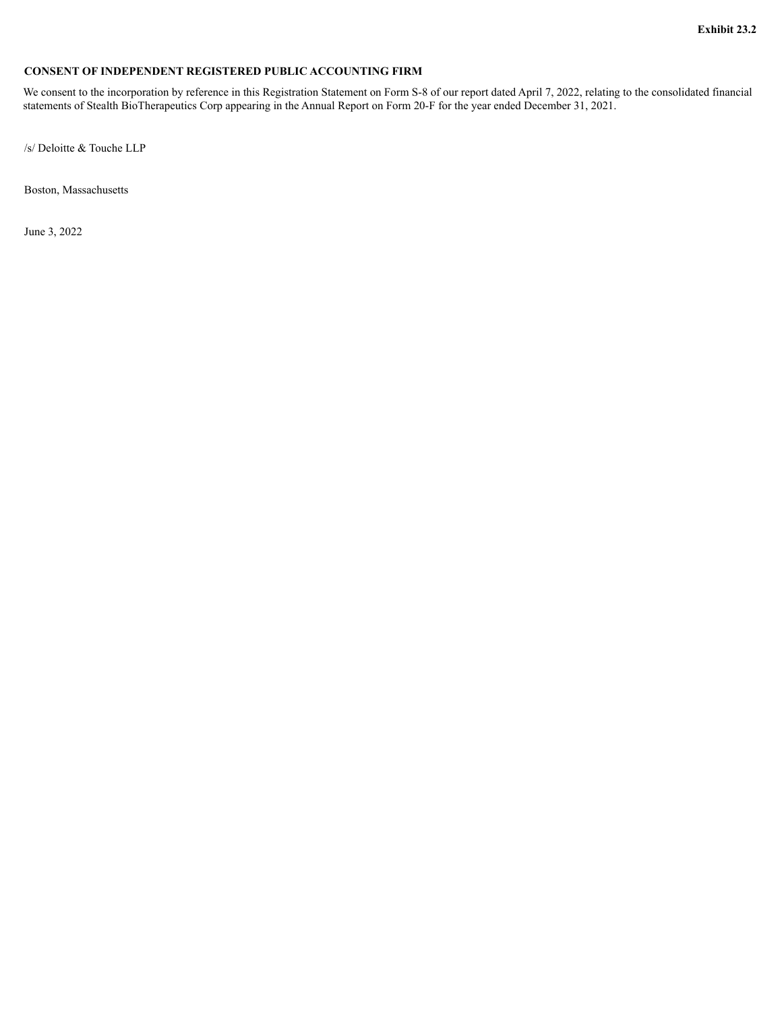## <span id="page-8-0"></span>**CONSENT OF INDEPENDENT REGISTERED PUBLIC ACCOUNTING FIRM**

We consent to the incorporation by reference in this Registration Statement on Form S-8 of our report dated April 7, 2022, relating to the consolidated financial statements of Stealth BioTherapeutics Corp appearing in the Annual Report on Form 20-F for the year ended December 31, 2021.

/s/ Deloitte & Touche LLP

Boston, Massachusetts

June 3, 2022